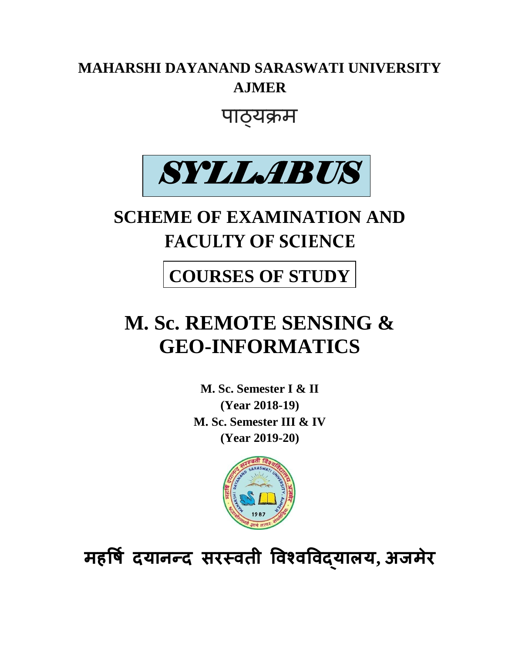## **MAHARSHI DAYANAND SARASWATI UNIVERSITY AJMER**

## पाठ्यक्रम



# **SCHEME OF EXAMINATION AND FACULTY OF SCIENCE**

## **COURSES OF STUDY**

# **M. Sc. REMOTE SENSING & GEO-INFORMATICS**

**M. Sc. Semester I & II (Year 2018-19) M. Sc. Semester III & IV (Year 2019-20)**



**महर्षि दयानन्द सरस्वती र्वश्वर्वद्याऱय, अजमेर**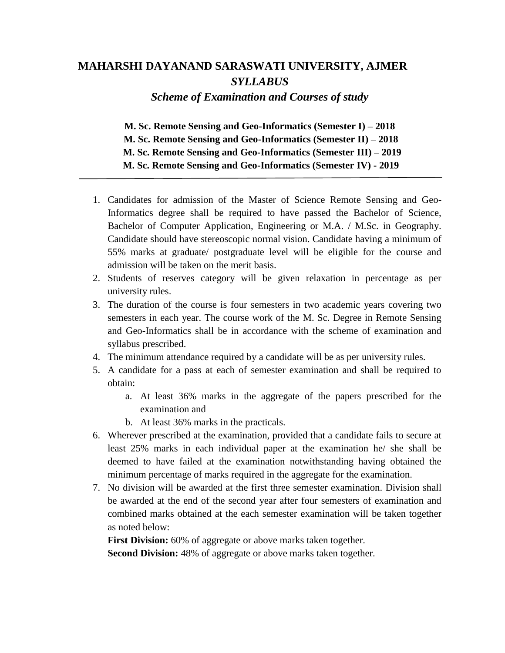## **MAHARSHI DAYANAND SARASWATI UNIVERSITY, AJMER** *SYLLABUS*

*Scheme of Examination and Courses of study*

**M. Sc. Remote Sensing and Geo-Informatics (Semester I) – 2018 M. Sc. Remote Sensing and Geo-Informatics (Semester II) – 2018 M. Sc. Remote Sensing and Geo-Informatics (Semester III) – 2019 M. Sc. Remote Sensing and Geo-Informatics (Semester IV) - 2019**

- 1. Candidates for admission of the Master of Science Remote Sensing and Geo-Informatics degree shall be required to have passed the Bachelor of Science, Bachelor of Computer Application, Engineering or M.A. / M.Sc. in Geography. Candidate should have stereoscopic normal vision. Candidate having a minimum of 55% marks at graduate/ postgraduate level will be eligible for the course and admission will be taken on the merit basis.
- 2. Students of reserves category will be given relaxation in percentage as per university rules.
- 3. The duration of the course is four semesters in two academic years covering two semesters in each year. The course work of the M. Sc. Degree in Remote Sensing and Geo-Informatics shall be in accordance with the scheme of examination and syllabus prescribed.
- 4. The minimum attendance required by a candidate will be as per university rules.
- 5. A candidate for a pass at each of semester examination and shall be required to obtain:
	- a. At least 36% marks in the aggregate of the papers prescribed for the examination and
	- b. At least 36% marks in the practicals.
- 6. Wherever prescribed at the examination, provided that a candidate fails to secure at least 25% marks in each individual paper at the examination he/ she shall be deemed to have failed at the examination notwithstanding having obtained the minimum percentage of marks required in the aggregate for the examination.
- 7. No division will be awarded at the first three semester examination. Division shall be awarded at the end of the second year after four semesters of examination and combined marks obtained at the each semester examination will be taken together as noted below:

**First Division:** 60% of aggregate or above marks taken together.

**Second Division:** 48% of aggregate or above marks taken together.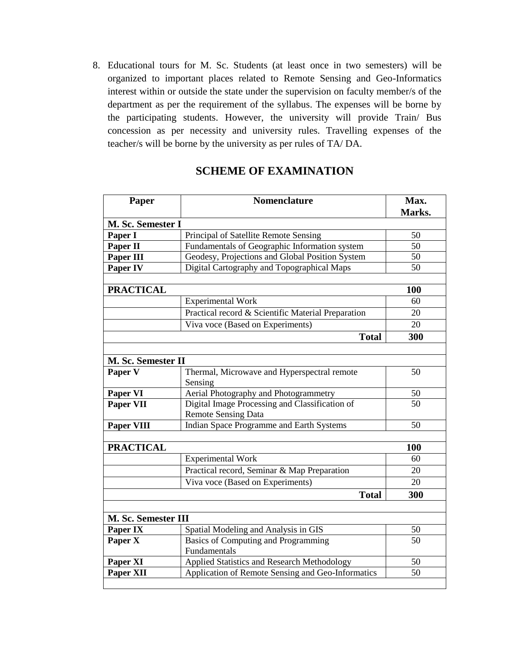8. Educational tours for M. Sc. Students (at least once in two semesters) will be organized to important places related to Remote Sensing and Geo-Informatics interest within or outside the state under the supervision on faculty member/s of the department as per the requirement of the syllabus. The expenses will be borne by the participating students. However, the university will provide Train/ Bus concession as per necessity and university rules. Travelling expenses of the teacher/s will be borne by the university as per rules of TA/ DA.

## **SCHEME OF EXAMINATION**

| Paper                      | <b>Nomenclature</b>                                    | Max.<br>Marks. |
|----------------------------|--------------------------------------------------------|----------------|
| M. Sc. Semester I          |                                                        |                |
| Paper I                    | Principal of Satellite Remote Sensing                  | 50             |
| Paper II                   | Fundamentals of Geographic Information system          | 50             |
| Paper III                  | Geodesy, Projections and Global Position System        | 50             |
| Paper IV                   | Digital Cartography and Topographical Maps             | 50             |
|                            |                                                        |                |
| <b>PRACTICAL</b>           |                                                        | 100            |
|                            | <b>Experimental Work</b>                               | 60             |
|                            | Practical record & Scientific Material Preparation     | 20             |
|                            | Viva voce (Based on Experiments)                       | 20             |
|                            | <b>Total</b>                                           | 300            |
|                            |                                                        |                |
| M. Sc. Semester II         |                                                        |                |
| Paper V                    | Thermal, Microwave and Hyperspectral remote<br>Sensing | 50             |
| Paper VI                   | Aerial Photography and Photogrammetry                  | 50             |
| <b>Paper VII</b>           | Digital Image Processing and Classification of         | 50             |
|                            | <b>Remote Sensing Data</b>                             |                |
| Paper VIII                 | Indian Space Programme and Earth Systems               | 50             |
|                            |                                                        |                |
| <b>PRACTICAL</b>           |                                                        | 100            |
|                            | <b>Experimental Work</b>                               | 60             |
|                            | Practical record, Seminar & Map Preparation            | 20             |
|                            | Viva voce (Based on Experiments)                       | 20             |
|                            | <b>Total</b>                                           | 300            |
|                            |                                                        |                |
| <b>M. Sc. Semester III</b> |                                                        |                |
| Paper IX                   | Spatial Modeling and Analysis in GIS                   | 50             |
| Paper X                    | <b>Basics of Computing and Programming</b>             | 50             |
|                            | Fundamentals                                           |                |
| Paper XI                   | Applied Statistics and Research Methodology            | 50             |
| Paper XII                  | Application of Remote Sensing and Geo-Informatics      | 50             |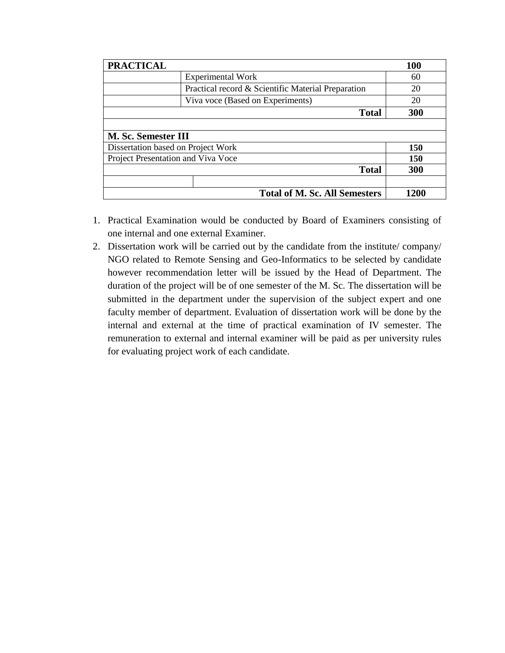| <b>PRACTICAL</b>                   |                                                    | <b>100</b> |
|------------------------------------|----------------------------------------------------|------------|
|                                    | <b>Experimental Work</b>                           | 60         |
|                                    | Practical record & Scientific Material Preparation | 20         |
|                                    | Viva voce (Based on Experiments)                   | 20         |
|                                    | <b>Total</b>                                       | 300        |
|                                    |                                                    |            |
| M. Sc. Semester III                |                                                    |            |
| Dissertation based on Project Work |                                                    | 150        |
| Project Presentation and Viva Voce |                                                    | <b>150</b> |
|                                    | <b>Total</b>                                       | 300        |
|                                    |                                                    |            |
|                                    | <b>Total of M. Sc. All Semesters</b>               | 1200       |

- 1. Practical Examination would be conducted by Board of Examiners consisting of one internal and one external Examiner.
- 2. Dissertation work will be carried out by the candidate from the institute/ company/ NGO related to Remote Sensing and Geo-Informatics to be selected by candidate however recommendation letter will be issued by the Head of Department. The duration of the project will be of one semester of the M. Sc. The dissertation will be submitted in the department under the supervision of the subject expert and one faculty member of department. Evaluation of dissertation work will be done by the internal and external at the time of practical examination of IV semester. The remuneration to external and internal examiner will be paid as per university rules for evaluating project work of each candidate.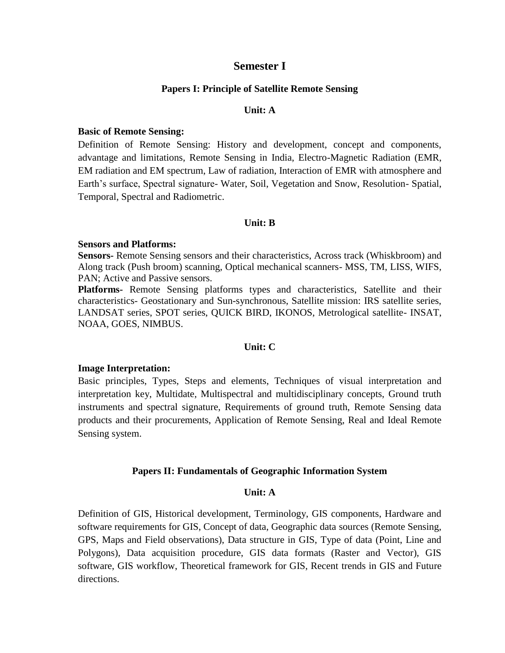## **Semester I**

#### **Papers I: Principle of Satellite Remote Sensing**

#### **Unit: A**

#### **Basic of Remote Sensing:**

Definition of Remote Sensing: History and development, concept and components, advantage and limitations, Remote Sensing in India, Electro-Magnetic Radiation (EMR, EM radiation and EM spectrum, Law of radiation, Interaction of EMR with atmosphere and Earth's surface, Spectral signature- Water, Soil, Vegetation and Snow, Resolution- Spatial, Temporal, Spectral and Radiometric.

#### **Unit: B**

#### **Sensors and Platforms:**

**Sensors-** Remote Sensing sensors and their characteristics, Across track (Whiskbroom) and Along track (Push broom) scanning, Optical mechanical scanners- MSS, TM, LISS, WIFS, PAN; Active and Passive sensors.

**Platforms-** Remote Sensing platforms types and characteristics, Satellite and their characteristics- Geostationary and Sun-synchronous, Satellite mission: IRS satellite series, LANDSAT series, SPOT series, QUICK BIRD, IKONOS, Metrological satellite- INSAT, NOAA, GOES, NIMBUS.

#### **Unit: C**

#### **Image Interpretation:**

Basic principles, Types, Steps and elements, Techniques of visual interpretation and interpretation key, Multidate, Multispectral and multidisciplinary concepts, Ground truth instruments and spectral signature, Requirements of ground truth, Remote Sensing data products and their procurements, Application of Remote Sensing, Real and Ideal Remote Sensing system.

#### **Papers II: Fundamentals of Geographic Information System**

#### **Unit: A**

Definition of GIS, Historical development, Terminology, GIS components, Hardware and software requirements for GIS, Concept of data, Geographic data sources (Remote Sensing, GPS, Maps and Field observations), Data structure in GIS, Type of data (Point, Line and Polygons), Data acquisition procedure, GIS data formats (Raster and Vector), GIS software, GIS workflow, Theoretical framework for GIS, Recent trends in GIS and Future directions.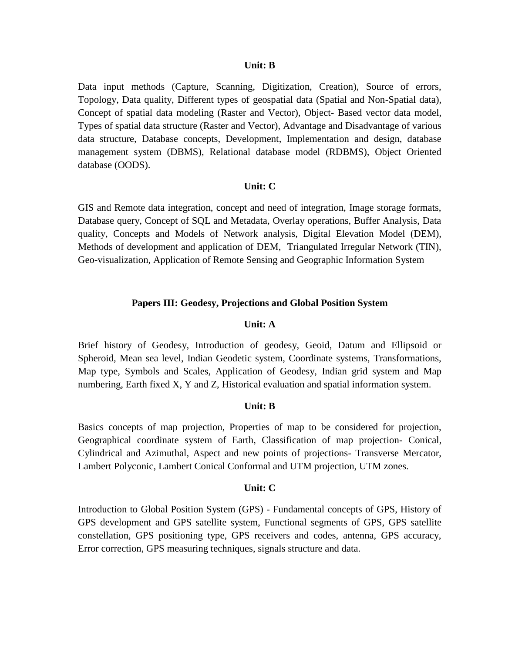Data input methods (Capture, Scanning, Digitization, Creation), Source of errors, Topology, Data quality, Different types of geospatial data (Spatial and Non-Spatial data), Concept of spatial data modeling (Raster and Vector), Object- Based vector data model, Types of spatial data structure (Raster and Vector), Advantage and Disadvantage of various data structure, Database concepts, Development, Implementation and design, database management system (DBMS), Relational database model (RDBMS), Object Oriented database (OODS).

#### **Unit: C**

GIS and Remote data integration, concept and need of integration, Image storage formats, Database query, Concept of SQL and Metadata, Overlay operations, Buffer Analysis, Data quality, Concepts and Models of Network analysis, Digital Elevation Model (DEM), Methods of development and application of DEM, Triangulated Irregular Network (TIN), Geo-visualization, Application of Remote Sensing and Geographic Information System

#### **Papers III: Geodesy, Projections and Global Position System**

#### **Unit: A**

Brief history of Geodesy, Introduction of geodesy, Geoid, Datum and Ellipsoid or Spheroid, Mean sea level, Indian Geodetic system, Coordinate systems, Transformations, Map type, Symbols and Scales, Application of Geodesy, Indian grid system and Map numbering, Earth fixed X, Y and Z, Historical evaluation and spatial information system.

#### **Unit: B**

Basics concepts of map projection, Properties of map to be considered for projection, Geographical coordinate system of Earth, Classification of map projection- Conical, Cylindrical and Azimuthal, Aspect and new points of projections- Transverse Mercator, Lambert Polyconic, Lambert Conical Conformal and UTM projection, UTM zones.

#### **Unit: C**

Introduction to Global Position System (GPS) - Fundamental concepts of GPS, History of GPS development and GPS satellite system, Functional segments of GPS, GPS satellite constellation, GPS positioning type, GPS receivers and codes, antenna, GPS accuracy, Error correction, GPS measuring techniques, signals structure and data.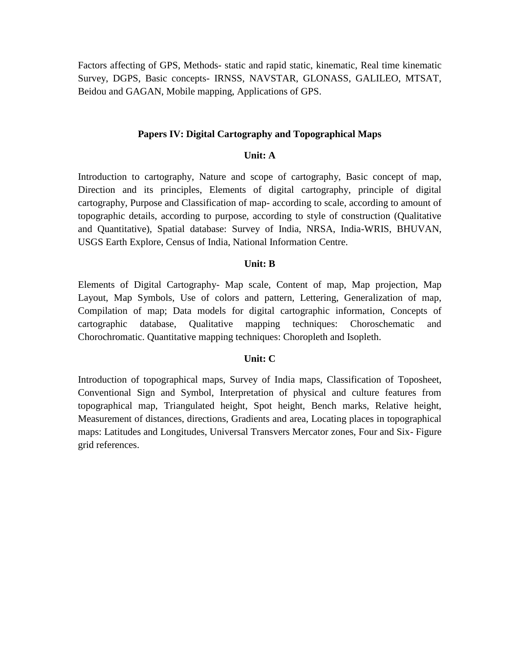Factors affecting of GPS, Methods- static and rapid static, kinematic, Real time kinematic Survey, DGPS, Basic concepts- IRNSS, NAVSTAR, GLONASS, GALILEO, MTSAT, Beidou and GAGAN, Mobile mapping, Applications of GPS.

#### **Papers IV: Digital Cartography and Topographical Maps**

#### **Unit: A**

Introduction to cartography, Nature and scope of cartography, Basic concept of map, Direction and its principles, Elements of digital cartography, principle of digital cartography, Purpose and Classification of map- according to scale, according to amount of topographic details, according to purpose, according to style of construction (Qualitative and Quantitative), Spatial database: Survey of India, NRSA, India-WRIS, BHUVAN, USGS Earth Explore, Census of India, National Information Centre.

#### **Unit: B**

Elements of Digital Cartography- Map scale, Content of map, Map projection, Map Layout, Map Symbols, Use of colors and pattern, Lettering, Generalization of map, Compilation of map; Data models for digital cartographic information, Concepts of cartographic database, Qualitative mapping techniques: Choroschematic and Chorochromatic. Quantitative mapping techniques: Choropleth and Isopleth.

#### **Unit: C**

Introduction of topographical maps, Survey of India maps, Classification of Toposheet, Conventional Sign and Symbol, Interpretation of physical and culture features from topographical map, Triangulated height, Spot height, Bench marks, Relative height, Measurement of distances, directions, Gradients and area, Locating places in topographical maps: Latitudes and Longitudes, Universal Transvers Mercator zones, Four and Six- Figure grid references.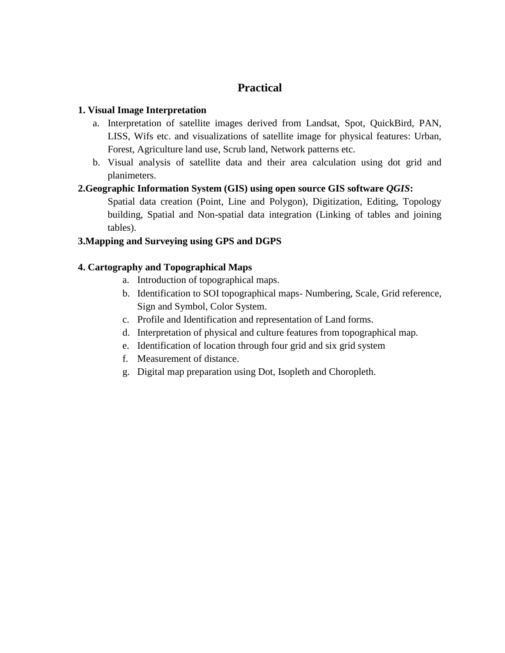## **Practical**

## **1. Visual Image Interpretation**

- a. Interpretation of satellite images derived from Landsat, Spot, QuickBird, PAN, LISS, Wifs etc. and visualizations of satellite image for physical features: Urban, Forest, Agriculture land use, Scrub land, Network patterns etc.
- b. Visual analysis of satellite data and their area calculation using dot grid and planimeters.

## **2.Geographic Information System (GIS) using open source GIS software** *QGIS***:**

Spatial data creation (Point, Line and Polygon), Digitization, Editing, Topology building, Spatial and Non-spatial data integration (Linking of tables and joining tables).

## **3.Mapping and Surveying using GPS and DGPS**

## **4. Cartography and Topographical Maps**

- a. Introduction of topographical maps.
- b. Identification to SOI topographical maps- Numbering, Scale, Grid reference, Sign and Symbol, Color System.
- c. Profile and Identification and representation of Land forms.
- d. Interpretation of physical and culture features from topographical map.
- e. Identification of location through four grid and six grid system
- f. Measurement of distance.
- g. Digital map preparation using Dot, Isopleth and Choropleth.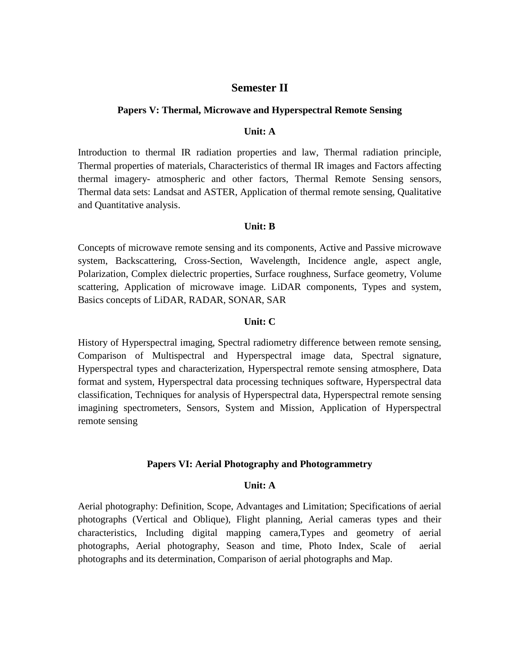## **Semester II**

#### **Papers V: Thermal, Microwave and Hyperspectral Remote Sensing**

## **Unit: A**

Introduction to thermal IR radiation properties and law, Thermal radiation principle, Thermal properties of materials, Characteristics of thermal IR images and Factors affecting thermal imagery- atmospheric and other factors, Thermal Remote Sensing sensors, Thermal data sets: Landsat and ASTER, Application of thermal remote sensing, Qualitative and Quantitative analysis.

#### **Unit: B**

Concepts of microwave remote sensing and its components, Active and Passive microwave system, Backscattering, Cross-Section, Wavelength, Incidence angle, aspect angle, Polarization, Complex dielectric properties, Surface roughness, Surface geometry, Volume scattering, Application of microwave image. LiDAR components, Types and system, Basics concepts of LiDAR, RADAR, SONAR, SAR

#### **Unit: C**

History of Hyperspectral imaging, Spectral radiometry difference between remote sensing, Comparison of Multispectral and Hyperspectral image data, Spectral signature, Hyperspectral types and characterization, Hyperspectral remote sensing atmosphere, Data format and system, Hyperspectral data processing techniques software, Hyperspectral data classification, Techniques for analysis of Hyperspectral data, Hyperspectral remote sensing imagining spectrometers, Sensors, System and Mission, Application of Hyperspectral remote sensing

## **Papers VI: Aerial Photography and Photogrammetry**

#### **Unit: A**

Aerial photography: Definition, Scope, Advantages and Limitation; Specifications of aerial photographs (Vertical and Oblique), Flight planning, Aerial cameras types and their characteristics, Including digital mapping camera,Types and geometry of aerial photographs, Aerial photography, Season and time, Photo Index, Scale of aerial photographs and its determination, Comparison of aerial photographs and Map.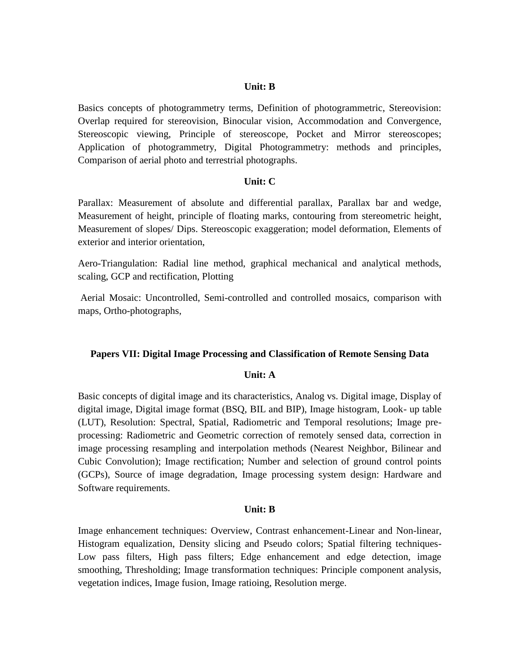Basics concepts of photogrammetry terms, Definition of photogrammetric, Stereovision: Overlap required for stereovision, Binocular vision, Accommodation and Convergence, Stereoscopic viewing, Principle of stereoscope, Pocket and Mirror stereoscopes; Application of photogrammetry, Digital Photogrammetry: methods and principles, Comparison of aerial photo and terrestrial photographs.

#### **Unit: C**

Parallax: Measurement of absolute and differential parallax, Parallax bar and wedge, Measurement of height, principle of floating marks, contouring from stereometric height, Measurement of slopes/ Dips. Stereoscopic exaggeration; model deformation, Elements of exterior and interior orientation,

Aero-Triangulation: Radial line method, graphical mechanical and analytical methods, scaling, GCP and rectification, Plotting

Aerial Mosaic: Uncontrolled, Semi-controlled and controlled mosaics, comparison with maps, Ortho-photographs,

#### **Papers VII: Digital Image Processing and Classification of Remote Sensing Data**

#### **Unit: A**

Basic concepts of digital image and its characteristics, Analog vs. Digital image, Display of digital image, Digital image format (BSQ, BIL and BIP), Image histogram, Look- up table (LUT), Resolution: Spectral, Spatial, Radiometric and Temporal resolutions; Image preprocessing: Radiometric and Geometric correction of remotely sensed data, correction in image processing resampling and interpolation methods (Nearest Neighbor, Bilinear and Cubic Convolution); Image rectification; Number and selection of ground control points (GCPs), Source of image degradation, Image processing system design: Hardware and Software requirements.

#### **Unit: B**

Image enhancement techniques: Overview, Contrast enhancement-Linear and Non-linear, Histogram equalization, Density slicing and Pseudo colors; Spatial filtering techniques-Low pass filters, High pass filters; Edge enhancement and edge detection, image smoothing, Thresholding; Image transformation techniques: Principle component analysis, vegetation indices, Image fusion, Image ratioing, Resolution merge.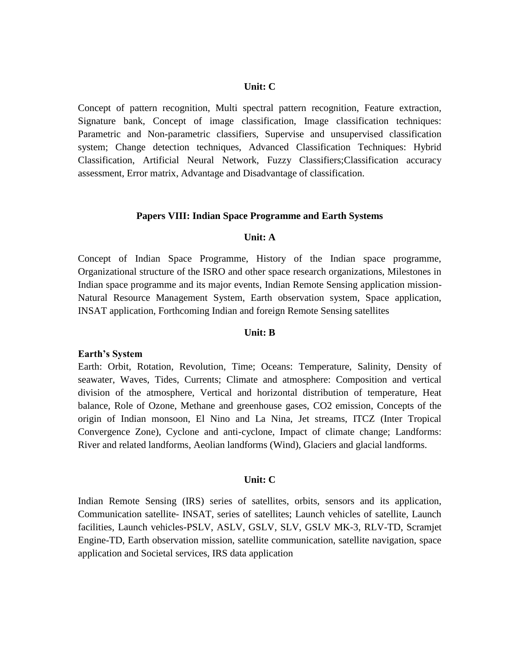#### **Unit: C**

Concept of pattern recognition, Multi spectral pattern recognition, Feature extraction, Signature bank, Concept of image classification, Image classification techniques: Parametric and Non-parametric classifiers, Supervise and unsupervised classification system; Change detection techniques, Advanced Classification Techniques: Hybrid Classification, Artificial Neural Network, Fuzzy Classifiers;Classification accuracy assessment, Error matrix, Advantage and Disadvantage of classification.

#### **Papers VIII: Indian Space Programme and Earth Systems**

#### **Unit: A**

Concept of Indian Space Programme, History of the Indian space programme, Organizational structure of the ISRO and other space research organizations, Milestones in Indian space programme and its major events, Indian Remote Sensing application mission-Natural Resource Management System, Earth observation system, Space application, INSAT application, Forthcoming Indian and foreign Remote Sensing satellites

#### **Unit: B**

#### **Earth's System**

Earth: Orbit, Rotation, Revolution, Time; Oceans: Temperature, Salinity, Density of seawater, Waves, Tides, Currents; Climate and atmosphere: Composition and vertical division of the atmosphere, Vertical and horizontal distribution of temperature, Heat balance, Role of Ozone, Methane and greenhouse gases, CO2 emission, Concepts of the origin of Indian monsoon, El Nino and La Nina, Jet streams, ITCZ (Inter Tropical Convergence Zone), Cyclone and anti-cyclone, Impact of climate change; Landforms: River and related landforms, Aeolian landforms (Wind), Glaciers and glacial landforms.

#### **Unit: C**

Indian Remote Sensing (IRS) series of satellites, orbits, sensors and its application, Communication satellite- INSAT, series of satellites; Launch vehicles of satellite, Launch facilities, Launch vehicles-PSLV, ASLV, GSLV, SLV, GSLV MK-3, RLV-TD, Scramjet Engine-TD, Earth observation mission, satellite communication, satellite navigation, space application and Societal services, IRS data application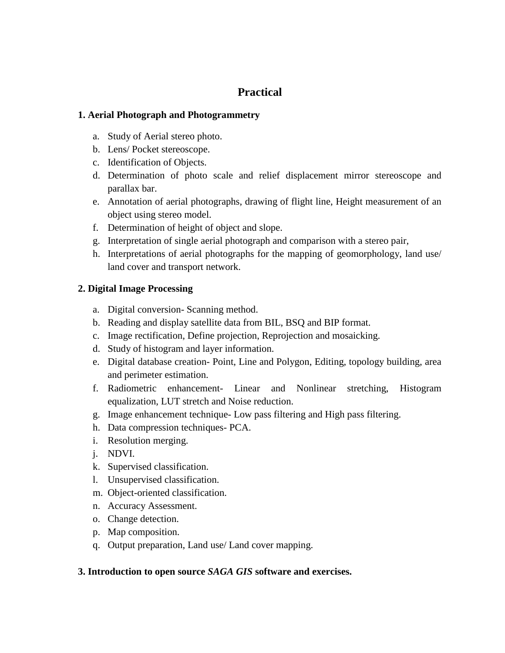## **Practical**

## **1. Aerial Photograph and Photogrammetry**

- a. Study of Aerial stereo photo.
- b. Lens/ Pocket stereoscope.
- c. Identification of Objects.
- d. Determination of photo scale and relief displacement mirror stereoscope and parallax bar.
- e. Annotation of aerial photographs, drawing of flight line, Height measurement of an object using stereo model.
- f. Determination of height of object and slope.
- g. Interpretation of single aerial photograph and comparison with a stereo pair,
- h. Interpretations of aerial photographs for the mapping of geomorphology, land use/ land cover and transport network.

## **2. Digital Image Processing**

- a. Digital conversion- Scanning method.
- b. Reading and display satellite data from BIL, BSQ and BIP format.
- c. Image rectification, Define projection, Reprojection and mosaicking.
- d. Study of histogram and layer information.
- e. Digital database creation- Point, Line and Polygon, Editing, topology building, area and perimeter estimation.
- f. Radiometric enhancement- Linear and Nonlinear stretching, Histogram equalization, LUT stretch and Noise reduction.
- g. Image enhancement technique- Low pass filtering and High pass filtering.
- h. Data compression techniques- PCA.
- i. Resolution merging.
- j. NDVI.
- k. Supervised classification.
- l. Unsupervised classification.
- m. Object-oriented classification.
- n. Accuracy Assessment.
- o. Change detection.
- p. Map composition.
- q. Output preparation, Land use/ Land cover mapping.

## **3. Introduction to open source** *SAGA GIS* **software and exercises.**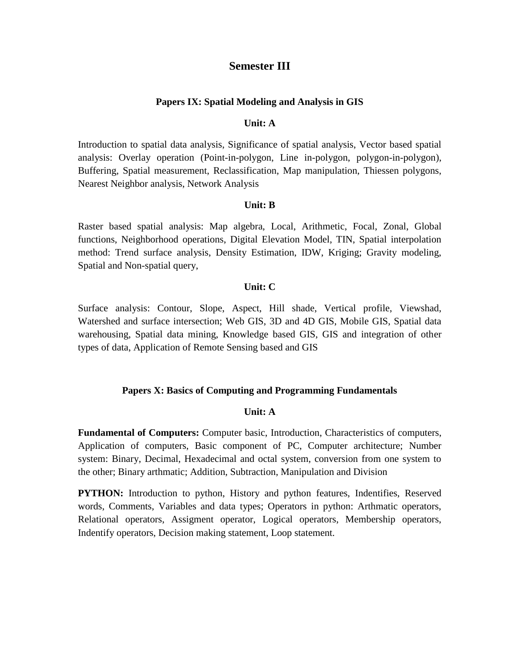## **Semester III**

#### **Papers IX: Spatial Modeling and Analysis in GIS**

## **Unit: A**

Introduction to spatial data analysis, Significance of spatial analysis, Vector based spatial analysis: Overlay operation (Point-in-polygon, Line in-polygon, polygon-in-polygon), Buffering, Spatial measurement, Reclassification, Map manipulation, Thiessen polygons, Nearest Neighbor analysis, Network Analysis

#### **Unit: B**

Raster based spatial analysis: Map algebra, Local, Arithmetic, Focal, Zonal, Global functions, Neighborhood operations, Digital Elevation Model, TIN, Spatial interpolation method: Trend surface analysis, Density Estimation, IDW, Kriging; Gravity modeling, Spatial and Non-spatial query,

#### **Unit: C**

Surface analysis: Contour, Slope, Aspect, Hill shade, Vertical profile, Viewshad, Watershed and surface intersection; Web GIS, 3D and 4D GIS, Mobile GIS, Spatial data warehousing, Spatial data mining, Knowledge based GIS, GIS and integration of other types of data, Application of Remote Sensing based and GIS

#### **Papers X: Basics of Computing and Programming Fundamentals**

#### **Unit: A**

**Fundamental of Computers:** Computer basic, Introduction, Characteristics of computers, Application of computers, Basic component of PC, Computer architecture; Number system: Binary, Decimal, Hexadecimal and octal system, conversion from one system to the other; Binary arthmatic; Addition, Subtraction, Manipulation and Division

**PYTHON:** Introduction to python, History and python features, Indentifies, Reserved words, Comments, Variables and data types; Operators in python: Arthmatic operators, Relational operators, Assigment operator, Logical operators, Membership operators, Indentify operators, Decision making statement, Loop statement.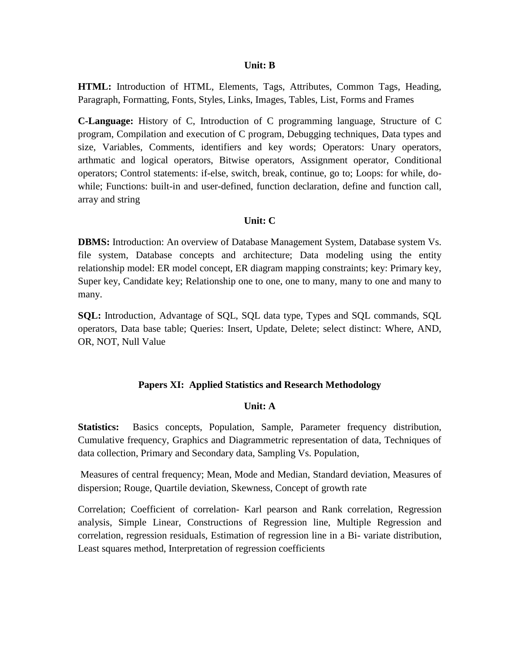**HTML:** Introduction of HTML, Elements, Tags, Attributes, Common Tags, Heading, Paragraph, Formatting, Fonts, Styles, Links, Images, Tables, List, Forms and Frames

**C-Language:** History of C, Introduction of C programming language, Structure of C program, Compilation and execution of C program, Debugging techniques, Data types and size, Variables, Comments, identifiers and key words; Operators: Unary operators, arthmatic and logical operators, Bitwise operators, Assignment operator, Conditional operators; Control statements: if-else, switch, break, continue, go to; Loops: for while, dowhile; Functions: built-in and user-defined, function declaration, define and function call, array and string

#### **Unit: C**

**DBMS:** Introduction: An overview of Database Management System, Database system Vs. file system, Database concepts and architecture; Data modeling using the entity relationship model: ER model concept, ER diagram mapping constraints; key: Primary key, Super key, Candidate key; Relationship one to one, one to many, many to one and many to many.

**SQL:** Introduction, Advantage of SQL, SQL data type, Types and SQL commands, SQL operators, Data base table; Queries: Insert, Update, Delete; select distinct: Where, AND, OR, NOT, Null Value

#### **Papers XI: Applied Statistics and Research Methodology**

#### **Unit: A**

**Statistics:** Basics concepts, Population, Sample, Parameter frequency distribution, Cumulative frequency, Graphics and Diagrammetric representation of data, Techniques of data collection, Primary and Secondary data, Sampling Vs. Population,

Measures of central frequency; Mean, Mode and Median, Standard deviation, Measures of dispersion; Rouge, Quartile deviation, Skewness, Concept of growth rate

Correlation; Coefficient of correlation- Karl pearson and Rank correlation, Regression analysis, Simple Linear, Constructions of Regression line, Multiple Regression and correlation, regression residuals, Estimation of regression line in a Bi- variate distribution, Least squares method, Interpretation of regression coefficients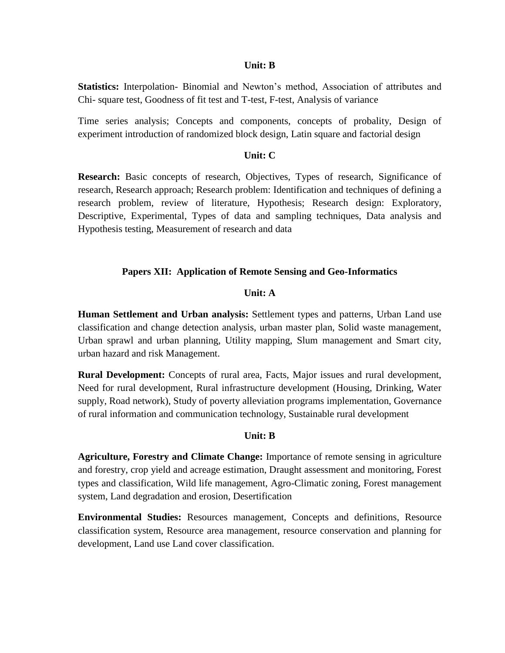**Statistics:** Interpolation- Binomial and Newton's method, Association of attributes and Chi- square test, Goodness of fit test and T-test, F-test, Analysis of variance

Time series analysis; Concepts and components, concepts of probality, Design of experiment introduction of randomized block design, Latin square and factorial design

#### **Unit: C**

**Research:** Basic concepts of research, Objectives, Types of research, Significance of research, Research approach; Research problem: Identification and techniques of defining a research problem, review of literature, Hypothesis; Research design: Exploratory, Descriptive, Experimental, Types of data and sampling techniques, Data analysis and Hypothesis testing, Measurement of research and data

#### **Papers XII: Application of Remote Sensing and Geo-Informatics**

#### **Unit: A**

**Human Settlement and Urban analysis:** Settlement types and patterns, Urban Land use classification and change detection analysis, urban master plan, Solid waste management, Urban sprawl and urban planning, Utility mapping, Slum management and Smart city, urban hazard and risk Management.

**Rural Development:** Concepts of rural area, Facts, Major issues and rural development, Need for rural development, Rural infrastructure development (Housing, Drinking, Water supply, Road network), Study of poverty alleviation programs implementation, Governance of rural information and communication technology, Sustainable rural development

#### **Unit: B**

**Agriculture, Forestry and Climate Change:** Importance of remote sensing in agriculture and forestry, crop yield and acreage estimation, Draught assessment and monitoring, Forest types and classification, Wild life management, Agro-Climatic zoning, Forest management system, Land degradation and erosion, Desertification

**Environmental Studies:** Resources management, Concepts and definitions, Resource classification system, Resource area management, resource conservation and planning for development, Land use Land cover classification.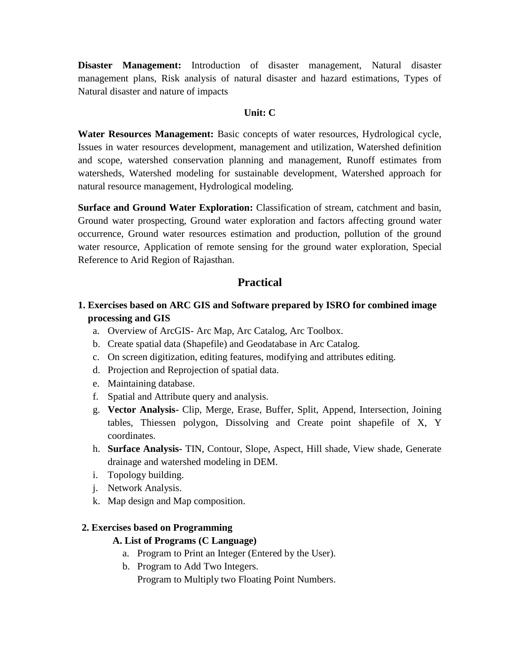**Disaster Management:** Introduction of disaster management, Natural disaster management plans, Risk analysis of natural disaster and hazard estimations, Types of Natural disaster and nature of impacts

## **Unit: C**

**Water Resources Management:** Basic concepts of water resources, Hydrological cycle, Issues in water resources development, management and utilization, Watershed definition and scope, watershed conservation planning and management, Runoff estimates from watersheds, Watershed modeling for sustainable development, Watershed approach for natural resource management, Hydrological modeling.

**Surface and Ground Water Exploration:** Classification of stream, catchment and basin, Ground water prospecting, Ground water exploration and factors affecting ground water occurrence, Ground water resources estimation and production, pollution of the ground water resource, Application of remote sensing for the ground water exploration, Special Reference to Arid Region of Rajasthan.

## **Practical**

## **1. Exercises based on ARC GIS and Software prepared by ISRO for combined image processing and GIS**

- a. Overview of ArcGIS- Arc Map, Arc Catalog, Arc Toolbox.
- b. Create spatial data (Shapefile) and Geodatabase in Arc Catalog.
- c. On screen digitization, editing features, modifying and attributes editing.
- d. Projection and Reprojection of spatial data.
- e. Maintaining database.
- f. Spatial and Attribute query and analysis.
- g. **Vector Analysis-** Clip, Merge, Erase, Buffer, Split, Append, Intersection, Joining tables, Thiessen polygon, Dissolving and Create point shapefile of X, Y coordinates.
- h. **Surface Analysis-** TIN, Contour, Slope, Aspect, Hill shade, View shade, Generate drainage and watershed modeling in DEM.
- i. Topology building.
- j. Network Analysis.
- k. Map design and Map composition.

#### **2. Exercises based on Programming**

#### **A. List of Programs (C Language)**

- a. Program to Print an Integer (Entered by the User).
- b. Program to Add Two Integers.

Program to Multiply two Floating Point Numbers.